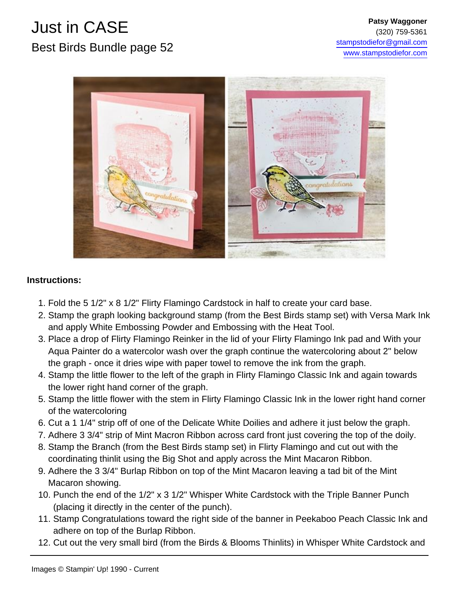

#### **Instructions:**

- 1. Fold the 5 1/2" x 8 1/2" Flirty Flamingo Cardstock in half to create your card base.
- 2. Stamp the graph looking background stamp (from the Best Birds stamp set) with Versa Mark Ink and apply White Embossing Powder and Embossing with the Heat Tool.
- 3. Place a drop of Flirty Flamingo Reinker in the lid of your Flirty Flamingo Ink pad and With your Aqua Painter do a watercolor wash over the graph continue the watercoloring about 2" below the graph - once it dries wipe with paper towel to remove the ink from the graph.
- 4. Stamp the little flower to the left of the graph in Flirty Flamingo Classic Ink and again towards the lower right hand corner of the graph.
- 5. Stamp the little flower with the stem in Flirty Flamingo Classic Ink in the lower right hand corner of the watercoloring
- 6. Cut a 1 1/4" strip off of one of the Delicate White Doilies and adhere it just below the graph.
- 7. Adhere 3 3/4" strip of Mint Macron Ribbon across card front just covering the top of the doily.
- 8. Stamp the Branch (from the Best Birds stamp set) in Flirty Flamingo and cut out with the coordinating thinlit using the Big Shot and apply across the Mint Macaron Ribbon.
- 9. Adhere the 3 3/4" Burlap Ribbon on top of the Mint Macaron leaving a tad bit of the Mint Macaron showing.
- 10. Punch the end of the 1/2" x 3 1/2" Whisper White Cardstock with the Triple Banner Punch (placing it directly in the center of the punch).
- 11. Stamp Congratulations toward the right side of the banner in Peekaboo Peach Classic Ink and adhere on top of the Burlap Ribbon.
- 12. Cut out the very small bird (from the Birds & Blooms Thinlits) in Whisper White Cardstock and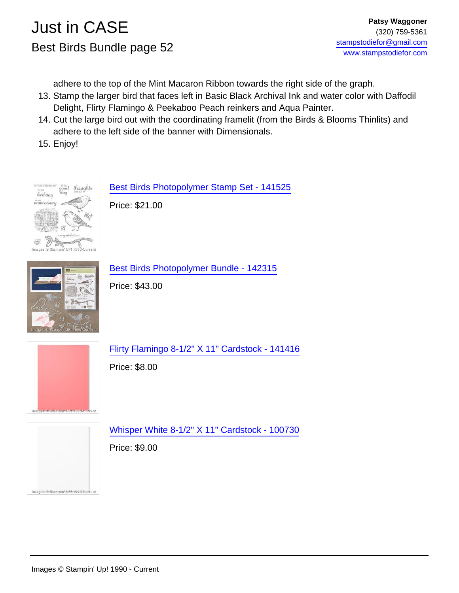adhere to the top of the Mint Macaron Ribbon towards the right side of the graph.

- 13. Stamp the larger bird that faces left in Basic Black Archival Ink and water color with Daffodil Delight, Flirty Flamingo & Peekaboo Peach reinkers and Aqua Painter.
- 14. Cut the large bird out with the coordinating framelit (from the Birds & Blooms Thinlits) and adhere to the left side of the banner with Dimensionals.
- 15. Enjoy!



[Best Birds Photopolymer Stamp Set - 141525](http://www.stampinup.com/ECWeb/ProductDetails.aspx?productID=141525&dbwsdemoid=15489)

Price: \$21.00



[Best Birds Photopolymer Bundle - 142315](http://www.stampinup.com/ECWeb/ProductDetails.aspx?productID=142315&dbwsdemoid=15489)

Price: \$43.00



[Flirty Flamingo 8-1/2" X 11" Cardstock - 141416](http://www.stampinup.com/ECWeb/ProductDetails.aspx?productID=141416&dbwsdemoid=15489)

Price: \$8.00



[Whisper White 8-1/2" X 11" Cardstock - 100730](http://www.stampinup.com/ECWeb/ProductDetails.aspx?productID=100730&dbwsdemoid=15489)

Price: \$9.00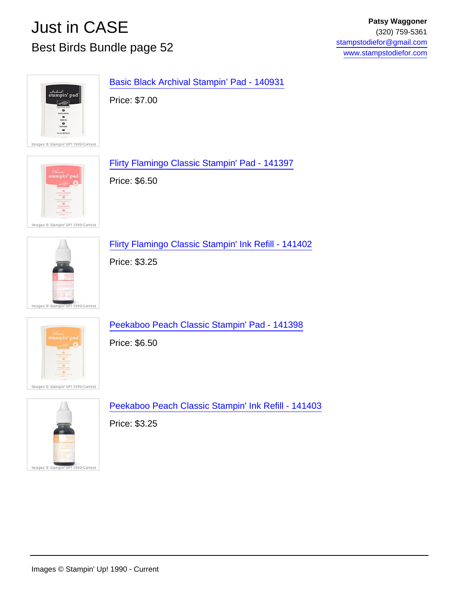

[Basic Black Archival Stampin' Pad - 140931](http://www.stampinup.com/ECWeb/ProductDetails.aspx?productID=140931&dbwsdemoid=15489)

Price: \$7.00



[Flirty Flamingo Classic Stampin' Pad - 141397](http://www.stampinup.com/ECWeb/ProductDetails.aspx?productID=141397&dbwsdemoid=15489)

Price: \$6.50

Images © Stampin' UP! 1990-Current



[Flirty Flamingo Classic Stampin' Ink Refill - 141402](http://www.stampinup.com/ECWeb/ProductDetails.aspx?productID=141402&dbwsdemoid=15489)

Price: \$3.25



Images ® Stampin' UP! 1990-Current

[Peekaboo Peach Classic Stampin' Pad - 141398](http://www.stampinup.com/ECWeb/ProductDetails.aspx?productID=141398&dbwsdemoid=15489)

Price: \$6.50

[Peekaboo Peach Classic Stampin' Ink Refill - 141403](http://www.stampinup.com/ECWeb/ProductDetails.aspx?productID=141403&dbwsdemoid=15489)

Price: \$3.25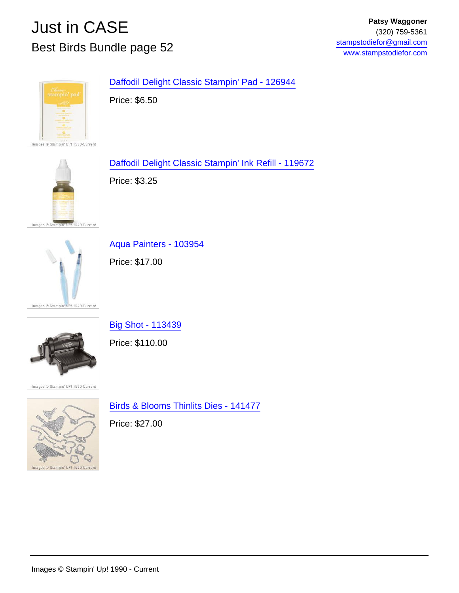

[Daffodil Delight Classic Stampin' Pad - 126944](http://www.stampinup.com/ECWeb/ProductDetails.aspx?productID=126944&dbwsdemoid=15489)

Price: \$6.50



[Daffodil Delight Classic Stampin' Ink Refill - 119672](http://www.stampinup.com/ECWeb/ProductDetails.aspx?productID=119672&dbwsdemoid=15489)

Price: \$3.25



[Aqua Painters - 103954](http://www.stampinup.com/ECWeb/ProductDetails.aspx?productID=103954&dbwsdemoid=15489)

Price: \$17.00

[Big Shot - 113439](http://www.stampinup.com/ECWeb/ProductDetails.aspx?productID=113439&dbwsdemoid=15489)

Price: \$110.00



ages © Stampin' UP! 1990-Current



[Birds & Blooms Thinlits Dies - 141477](http://www.stampinup.com/ECWeb/ProductDetails.aspx?productID=141477&dbwsdemoid=15489)

Price: \$27.00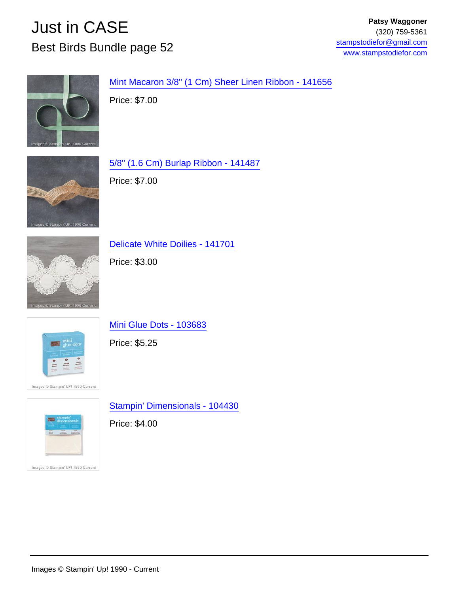

[Mint Macaron 3/8" \(1 Cm\) Sheer Linen Ribbon - 141656](http://www.stampinup.com/ECWeb/ProductDetails.aspx?productID=141656&dbwsdemoid=15489)

Price: \$7.00



[5/8" \(1.6 Cm\) Burlap Ribbon - 141487](http://www.stampinup.com/ECWeb/ProductDetails.aspx?productID=141487&dbwsdemoid=15489) Price: \$7.00



[Delicate White Doilies - 141701](http://www.stampinup.com/ECWeb/ProductDetails.aspx?productID=141701&dbwsdemoid=15489)

Price: \$3.00



Images ® Stampin' UP! 1990-Current

[Mini Glue Dots - 103683](http://www.stampinup.com/ECWeb/ProductDetails.aspx?productID=103683&dbwsdemoid=15489)

Price: \$5.25

[Stampin' Dimensionals - 104430](http://www.stampinup.com/ECWeb/ProductDetails.aspx?productID=104430&dbwsdemoid=15489)

Price: \$4.00